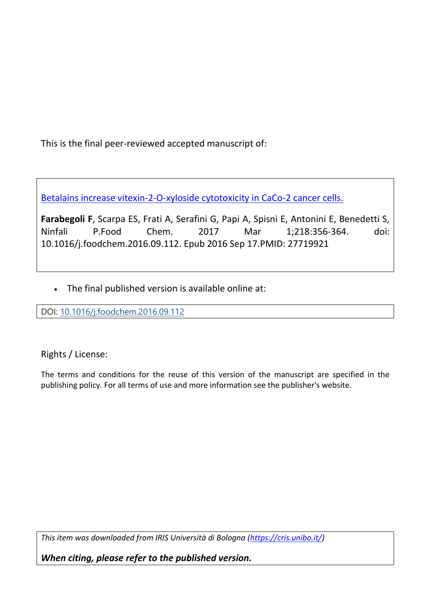This is the final peer-reviewed accepted manuscript of:

Betalains [increase vitexin-2-O-xyloside cytotoxicity in CaCo-2 cancer cells.](https://pubmed.ncbi.nlm.nih.gov/27719921/)

**Farabegoli F**, Scarpa ES, Frati A, Serafini G, Papi A, Spisni E, Antonini E, Benedetti S, Ninfali P.Food Chem. 2017 Mar 1;218:356-364. doi: 10.1016/j.foodchem.2016.09.112. Epub 2016 Sep 17.PMID: 27719921

• The final published version is available online at:

DOI: [10.1016/j.foodchem.2016.09.112](https://doi.org/10.1016/j.foodchem.2016.09.112)

Rights / License:

The terms and conditions for the reuse of this version of the manuscript are specified in the publishing policy. For all terms of use and more information see the publisher's website.

*This item was downloaded from IRIS Università di Bologna [\(https://cris.unibo.it/\)](https://cris.unibo.it/)*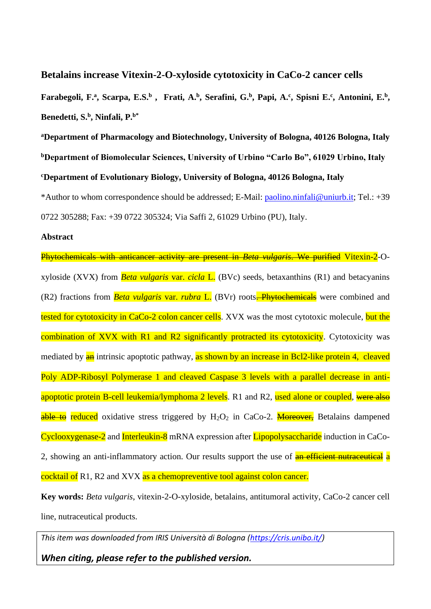**Betalains increase Vitexin-2-O-xyloside cytotoxicity in CaCo-2 cancer cells**

Farabegoli, F.<sup>a</sup>, Scarpa, E.S.<sup>b</sup>, Frati, A.<sup>b</sup>, Serafini, G.<sup>b</sup>, Papi, A.<sup>c</sup>, Spisni E.<sup>c</sup>, Antonini, E.<sup>b</sup>, **Benedetti, S.<sup>b</sup> , Ninfali, P.b\***

**<sup>a</sup>Department of Pharmacology and Biotechnology, University of Bologna, 40126 Bologna, Italy <sup>b</sup>Department of Biomolecular Sciences, University of Urbino "Carlo Bo", 61029 Urbino, Italy <sup>c</sup>Department of Evolutionary Biology, University of Bologna, 40126 Bologna, Italy**

\*Author to whom correspondence should be addressed; E-Mail: [paolino.ninfali@uniurb.it;](mailto:paolino.ninfali@uniurb.it) Tel.: +39 0722 305288; Fax: +39 0722 305324; Via Saffi 2, 61029 Urbino (PU), Italy.

## **Abstract**

Phytochemicals with anticancer activity are present in *Beta vulgaris*. We purified Vitexin-2-Oxyloside (XVX) from *Beta vulgaris* var. *cicla* L. (BVc) seeds, betaxanthins (R1) and betacyanins (R2) fractions from *Beta vulgaris var. rubra* L. (BVr) roots. Phytochemicals were combined and tested for cytotoxicity in CaCo-2 colon cancer cells. XVX was the most cytotoxic molecule, but the combination of XVX with R1 and R2 significantly protracted its cytotoxicity. Cytotoxicity was mediated by **an** intrinsic apoptotic pathway, as shown by an increase in Bcl2-like protein 4, cleaved Poly ADP-Ribosyl Polymerase 1 and cleaved Caspase 3 levels with a parallel decrease in antiapoptotic protein B-cell leukemia/lymphoma 2 levels. R1 and R2, used alone or coupled, were also able to reduced oxidative stress triggered by  $H_2O_2$  in CaCo-2. Moreover, Betalains dampened Cyclooxygenase-2 and Interleukin-8 mRNA expression after Lipopolysaccharide induction in CaCo-2, showing an anti-inflammatory action. Our results support the use of **an efficient nutraceutical** a cocktail of R1, R2 and XVX as a chemopreventive tool against colon cancer.

**Key words:** *Beta vulgaris*, vitexin-2-O-xyloside, betalains*,* antitumoral activity, CaCo-2 cancer cell line, nutraceutical products.

*This item was downloaded from IRIS Università di Bologna [\(https://cris.unibo.it/\)](https://cris.unibo.it/)*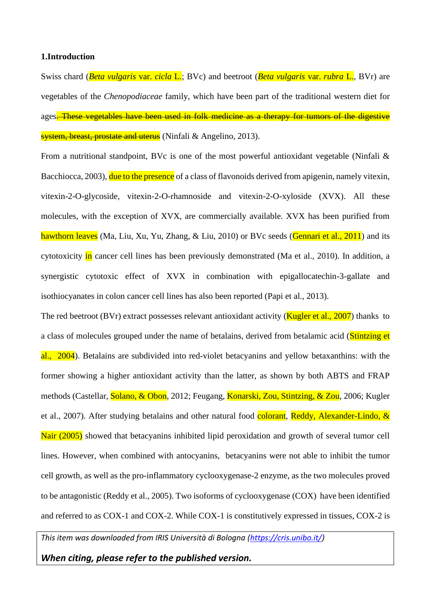#### **1.Introduction**

Swiss chard (*Beta vulgaris* var. *cicla* L.; BVc) and beetroot (*Beta vulgaris* var. *rubra* L., BVr) are vegetables of the *Chenopodiaceae* family, which have been part of the traditional western diet for ages. These vegetables have been used in folk medicine as a therapy for tumors of the digestive system, breast, prostate and uterus (Ninfali & Angelino, 2013).

From a nutritional standpoint, BVc is one of the most powerful antioxidant vegetable (Ninfali & Bacchiocca, 2003), due to the presence of a class of flavonoids derived from apigenin, namely vitexin, vitexin-2-O-glycoside, vitexin-2-O-rhamnoside and vitexin-2-O-xyloside (XVX). All these molecules, with the exception of XVX, are commercially available. XVX has been purified from hawthorn leaves (Ma, Liu, Xu, Yu, Zhang, & Liu, 2010) or BVc seeds (Gennari et al., 2011) and its cytotoxicity in cancer cell lines has been previously demonstrated (Ma et al., 2010). In addition, a synergistic cytotoxic effect of XVX in combination with epigallocatechin-3-gallate and isothiocyanates in colon cancer cell lines has also been reported (Papi et al., 2013).

The red beetroot (BVr) extract possesses relevant antioxidant activity (**Kugler et al., 2007**) thanks to a class of molecules grouped under the name of betalains, derived from betalamic acid (Stintzing et al., 2004). Betalains are subdivided into red-violet betacyanins and yellow betaxanthins: with the former showing a higher antioxidant activity than the latter, as shown by both ABTS and FRAP methods (Castellar, Solano, & Obon, 2012; Feugang, Konarski, Zou, Stintzing, & Zou, 2006; Kugler et al., 2007). After studying betalains and other natural food colorant, Reddy, Alexander-Lindo, & Nair (2005) showed that betacyanins inhibited lipid peroxidation and growth of several tumor cell lines. However, when combined with antocyanins, betacyanins were not able to inhibit the tumor cell growth, as well as the pro-inflammatory cyclooxygenase-2 enzyme, as the two molecules proved to be antagonistic (Reddy et al., 2005). Two isoforms of cyclooxygenase (COX) have been identified and referred to as COX-1 and COX-2. While COX-1 is constitutively expressed in tissues, COX-2 is

*This item was downloaded from IRIS Università di Bologna [\(https://cris.unibo.it/\)](https://cris.unibo.it/)*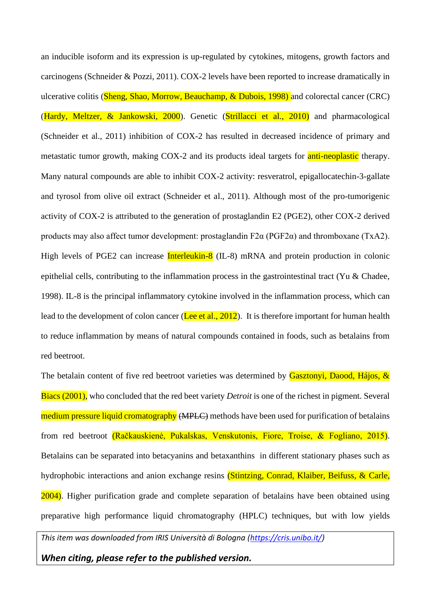an inducible isoform and its expression is up-regulated by cytokines, mitogens, growth factors and carcinogens (Schneider & Pozzi, 2011). COX-2 levels have been reported to increase dramatically in ulcerative colitis (Sheng, Shao, Morrow, Beauchamp, & Dubois, 1998) and colorectal cancer (CRC) (Hardy, Meltzer, & Jankowski, 2000). Genetic (Strillacci et al., 2010) and pharmacological (Schneider et al., 2011) inhibition of COX-2 has resulted in decreased incidence of primary and metastatic tumor growth, making COX-2 and its products ideal targets for **anti-neoplastic** therapy. Many natural compounds are able to inhibit COX-2 activity: resveratrol, epigallocatechin-3-gallate and tyrosol from olive oil extract (Schneider et al., 2011). Although most of the pro-tumorigenic activity of COX-2 is attributed to the generation of prostaglandin E2 (PGE2), other COX-2 derived products may also affect tumor development: prostaglandin F2α (PGF2α) and thromboxane (TxA2). High levels of PGE2 can increase **Interleukin-8** (IL-8) mRNA and protein production in colonic epithelial cells, contributing to the inflammation process in the gastrointestinal tract (Yu & Chadee, 1998). IL-8 is the principal inflammatory cytokine involved in the inflammation process, which can lead to the development of colon cancer (Lee et al., 2012). It is therefore important for human health to reduce inflammation by means of natural compounds contained in foods, such as betalains from red beetroot.

The betalain content of five red beetroot varieties was determined by Gasztonyi, Daood, Hájos, & Biacs (2001), who concluded that the red beet variety *Detroit* is one of the richest in pigment. Several medium pressure liquid cromatography (MPLC) methods have been used for purification of betalains from red beetroot (Račkauskienė, Pukalskas, Venskutonis, Fiore, Troise, & Fogliano, 2015). Betalains can be separated into betacyanins and betaxanthins in different stationary phases such as hydrophobic interactions and anion exchange resins (Stintzing, Conrad, Klaiber, Beifuss, & Carle, 2004). Higher purification grade and complete separation of betalains have been obtained using preparative high performance liquid chromatography (HPLC) techniques, but with low yields

*This item was downloaded from IRIS Università di Bologna [\(https://cris.unibo.it/\)](https://cris.unibo.it/)*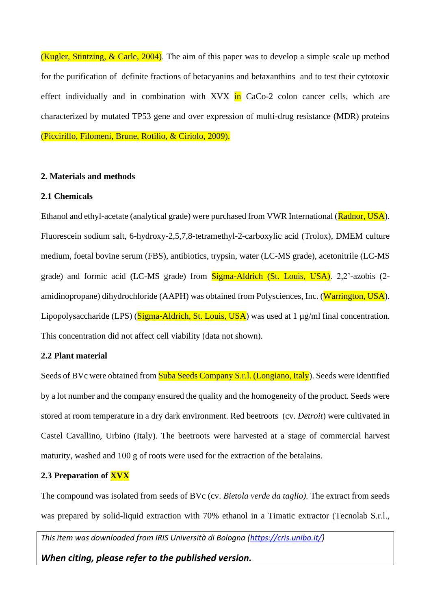(Kugler, Stintzing,  $& Carle, 2004$ ). The aim of this paper was to develop a simple scale up method for the purification of definite fractions of betacyanins and betaxanthins and to test their cytotoxic effect individually and in combination with  $XVX$  in CaCo-2 colon cancer cells, which are characterized by mutated TP53 gene and over expression of multi-drug resistance (MDR) proteins (Piccirillo, Filomeni, Brune, Rotilio, & Ciriolo, 2009).

### **2. Materials and methods**

## **2.1 Chemicals**

Ethanol and ethyl-acetate (analytical grade) were purchased from VWR International (Radnor, USA). Fluorescein sodium salt, 6-hydroxy-2,5,7,8-tetramethyl-2-carboxylic acid (Trolox), DMEM culture medium, foetal bovine serum (FBS), antibiotics, trypsin, water (LC-MS grade), acetonitrile (LC-MS grade) and formic acid (LC-MS grade) from **Sigma-Aldrich (St. Louis, USA)**. 2,2'-azobis (2amidinopropane) dihydrochloride (AAPH) was obtained from Polysciences, Inc. (Warrington, USA). Lipopolysaccharide (LPS) (Sigma-Aldrich, St. Louis, USA) was used at 1 µg/ml final concentration. This concentration did not affect cell viability (data not shown).

## **2.2 Plant material**

Seeds of BVc were obtained from Suba Seeds Company S.r.l. (Longiano, Italy). Seeds were identified by a lot number and the company ensured the quality and the homogeneity of the product. Seeds were stored at room temperature in a dry dark environment. Red beetroots (cv. *Detroit*) were cultivated in Castel Cavallino, Urbino (Italy). The beetroots were harvested at a stage of commercial harvest maturity, washed and 100 g of roots were used for the extraction of the betalains.

## **2.3 Preparation of XVX**

The compound was isolated from seeds of BVc (cv. *Bietola verde da taglio).* The extract from seeds was prepared by solid-liquid extraction with 70% ethanol in a Timatic extractor (Tecnolab S.r.l.,

*This item was downloaded from IRIS Università di Bologna [\(https://cris.unibo.it/\)](https://cris.unibo.it/)*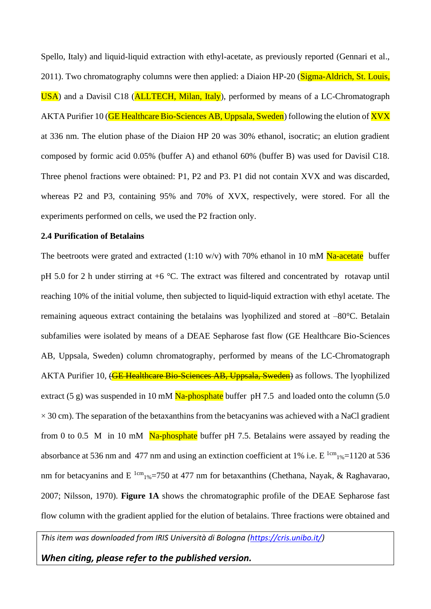Spello, Italy) and liquid-liquid extraction with ethyl-acetate, as previously reported (Gennari et al., 2011). Two chromatography columns were then applied: a Diaion HP-20 (Sigma-Aldrich, St. Louis, USA) and a Davisil C18 (**ALLTECH, Milan, Italy**), performed by means of a LC-Chromatograph AKTA Purifier 10 (**GE Healthcare Bio-Sciences AB, Uppsala, Sweden**) following the elution of **XVX** at 336 nm. The elution phase of the Diaion HP 20 was 30% ethanol, isocratic; an elution gradient composed by formic acid 0.05% (buffer A) and ethanol 60% (buffer B) was used for Davisil C18. Three phenol fractions were obtained: P1, P2 and P3. P1 did not contain XVX and was discarded, whereas P2 and P3, containing 95% and 70% of XVX, respectively, were stored. For all the experiments performed on cells, we used the P2 fraction only.

## **2.4 Purification of Betalains**

The beetroots were grated and extracted (1:10 w/v) with 70% ethanol in 10 mM  $\text{Na-acetate}$  buffer pH 5.0 for 2 h under stirring at +6 °C. The extract was filtered and concentrated by rotavap until reaching 10% of the initial volume, then subjected to liquid-liquid extraction with ethyl acetate. The remaining aqueous extract containing the betalains was lyophilized and stored at –80°C. Betalain subfamilies were isolated by means of a DEAE Sepharose fast flow (GE Healthcare Bio-Sciences AB, Uppsala, Sweden) column chromatography, performed by means of the LC-Chromatograph AKTA Purifier 10, (**GE Healthcare Bio-Sciences AB, Uppsala, Sweden**) as follows. The lyophilized extract (5 g) was suspended in 10 mM  $\overline{Na}$ -phosphate buffer pH 7.5 and loaded onto the column (5.0)  $\times$  30 cm). The separation of the betaxanthins from the betacyanins was achieved with a NaCl gradient from 0 to 0.5 M in 10 mM  $\overline{Na}$ -phosphate buffer pH 7.5. Betalains were assayed by reading the absorbance at 536 nm and 477 nm and using an extinction coefficient at 1% i.e.  $E^{1cm}$ <sub>1%</sub>=1120 at 536 nm for betacyanins and E<sup>1cm</sup><sub>1%</sub>=750 at 477 nm for betaxanthins (Chethana, Nayak, & Raghavarao, 2007; Nilsson, 1970). **Figure 1A** shows the chromatographic profile of the DEAE Sepharose fast flow column with the gradient applied for the elution of betalains. Three fractions were obtained and

*This item was downloaded from IRIS Università di Bologna [\(https://cris.unibo.it/\)](https://cris.unibo.it/)*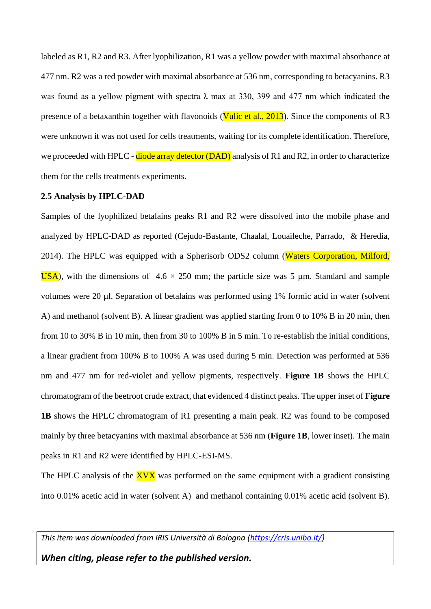labeled as R1, R2 and R3. After lyophilization, R1 was a yellow powder with maximal absorbance at 477 nm. R2 was a red powder with maximal absorbance at 536 nm, corresponding to betacyanins. R3 was found as a yellow pigment with spectra  $\lambda$  max at 330, 399 and 477 nm which indicated the presence of a betaxanthin together with flavonoids (Vulic et al., 2013). Since the components of R3 were unknown it was not used for cells treatments, waiting for its complete identification. Therefore, we proceeded with HPLC - diode array detector (DAD) analysis of R1 and R2, in order to characterize them for the cells treatments experiments.

#### **2.5 Analysis by HPLC-DAD**

Samples of the lyophilized betalains peaks R1 and R2 were dissolved into the mobile phase and analyzed by HPLC-DAD as reported (Cejudo-Bastante, Chaalal, Louaileche, Parrado, & Heredia, 2014). The HPLC was equipped with a Spherisorb ODS2 column (Waters Corporation, Milford, USA), with the dimensions of  $4.6 \times 250$  mm; the particle size was 5 µm. Standard and sample volumes were 20 µl. Separation of betalains was performed using 1% formic acid in water (solvent A) and methanol (solvent B). A linear gradient was applied starting from 0 to 10% B in 20 min, then from 10 to 30% B in 10 min, then from 30 to 100% B in 5 min. To re-establish the initial conditions, a linear gradient from 100% B to 100% A was used during 5 min. Detection was performed at 536 nm and 477 nm for red-violet and yellow pigments, respectively. **Figure 1B** shows the HPLC chromatogram of the beetroot crude extract, that evidenced 4 distinct peaks. The upper inset of **Figure 1B** shows the HPLC chromatogram of R1 presenting a main peak. R2 was found to be composed mainly by three betacyanins with maximal absorbance at 536 nm (**Figure 1B**, lower inset). The main peaks in R1 and R2 were identified by HPLC-ESI-MS.

The HPLC analysis of the  $XVX$  was performed on the same equipment with a gradient consisting into 0.01% acetic acid in water (solvent A) and methanol containing 0.01% acetic acid (solvent B).

*This item was downloaded from IRIS Università di Bologna [\(https://cris.unibo.it/\)](https://cris.unibo.it/)*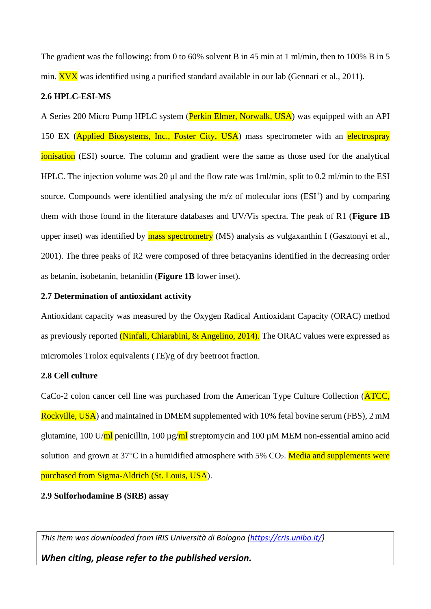The gradient was the following: from 0 to 60% solvent B in 45 min at 1 ml/min, then to 100% B in 5 min.  $\overline{X}V\overline{X}$  was identified using a purified standard available in our lab (Gennari et al., 2011).

### **2.6 HPLC-ESI-MS**

A Series 200 Micro Pump HPLC system (Perkin Elmer, Norwalk, USA) was equipped with an API 150 EX (Applied Biosystems, Inc., Foster City, USA) mass spectrometer with an electrospray ionisation (ESI) source. The column and gradient were the same as those used for the analytical HPLC. The injection volume was 20 µl and the flow rate was 1ml/min, split to 0.2 ml/min to the ESI source. Compounds were identified analysing the m/z of molecular ions (ESI<sup>+</sup>) and by comparing them with those found in the literature databases and UV/Vis spectra. The peak of R1 (**Figure 1B** upper inset) was identified by **mass spectrometry** (MS) analysis as vulgaxanthin I (Gasztonyi et al., 2001). The three peaks of R2 were composed of three betacyanins identified in the decreasing order as betanin, isobetanin, betanidin (**Figure 1B** lower inset).

#### **2.7 Determination of antioxidant activity**

Antioxidant capacity was measured by the Oxygen Radical Antioxidant Capacity (ORAC) method as previously reported (Ninfali, Chiarabini, & Angelino, 2014). The ORAC values were expressed as micromoles Trolox equivalents (TE)/g of dry beetroot fraction.

#### **2.8 Cell culture**

CaCo-2 colon cancer cell line was purchased from the American Type Culture Collection (ATCC, Rockville, USA) and maintained in DMEM supplemented with 10% fetal bovine serum (FBS), 2 mM glutamine, 100 U/ $\text{ml}$  penicillin, 100  $\mu$ g/ $\text{ml}$  streptomycin and 100  $\mu$ M MEM non-essential amino acid solution and grown at  $37^{\circ}$ C in a humidified atmosphere with  $5\%$  CO<sub>2</sub>. Media and supplements were purchased from Sigma-Aldrich (St. Louis, USA).

### **2.9 Sulforhodamine B (SRB) assay**

*This item was downloaded from IRIS Università di Bologna [\(https://cris.unibo.it/\)](https://cris.unibo.it/)*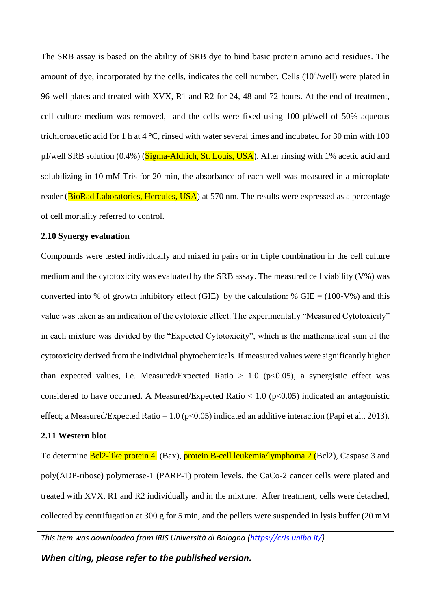The SRB assay is based on the ability of SRB dye to bind basic protein amino acid residues. The amount of dye, incorporated by the cells, indicates the cell number. Cells  $(10<sup>4</sup>/well)$  were plated in 96-well plates and treated with XVX, R1 and R2 for 24, 48 and 72 hours. At the end of treatment, cell culture medium was removed, and the cells were fixed using 100 µl/well of 50% aqueous trichloroacetic acid for 1 h at 4 °C, rinsed with water several times and incubated for 30 min with 100  $\mu$ l/well SRB solution (0.4%) (Sigma-Aldrich, St. Louis, USA). After rinsing with 1% acetic acid and solubilizing in 10 mM Tris for 20 min, the absorbance of each well was measured in a microplate reader (BioRad Laboratories, Hercules, USA) at 570 nm. The results were expressed as a percentage of cell mortality referred to control.

## **2.10 Synergy evaluation**

Compounds were tested individually and mixed in pairs or in triple combination in the cell culture medium and the cytotoxicity was evaluated by the SRB assay. The measured cell viability (V%) was converted into % of growth inhibitory effect (GIE) by the calculation: % GIE =  $(100-V\%)$  and this value was taken as an indication of the cytotoxic effect. The experimentally "Measured Cytotoxicity" in each mixture was divided by the "Expected Cytotoxicity", which is the mathematical sum of the cytotoxicity derived from the individual phytochemicals. If measured values were significantly higher than expected values, i.e. Measured/Expected Ratio  $> 1.0$  (p<0.05), a synergistic effect was considered to have occurred. A Measured/Expected Ratio  $< 1.0$  (p $< 0.05$ ) indicated an antagonistic effect; a Measured/Expected Ratio =  $1.0$  (p<0.05) indicated an additive interaction (Papi et al., 2013).

## **2.11 Western blot**

To determine **Bcl2-like protein 4** (Bax), **protein B-cell leukemia/lymphoma 2 (Bcl2)**, Caspase 3 and poly(ADP-ribose) polymerase-1 (PARP-1) protein levels, the CaCo-2 cancer cells were plated and treated with XVX, R1 and R2 individually and in the mixture. After treatment, cells were detached, collected by centrifugation at 300 g for 5 min, and the pellets were suspended in lysis buffer (20 mM

*This item was downloaded from IRIS Università di Bologna [\(https://cris.unibo.it/\)](https://cris.unibo.it/)*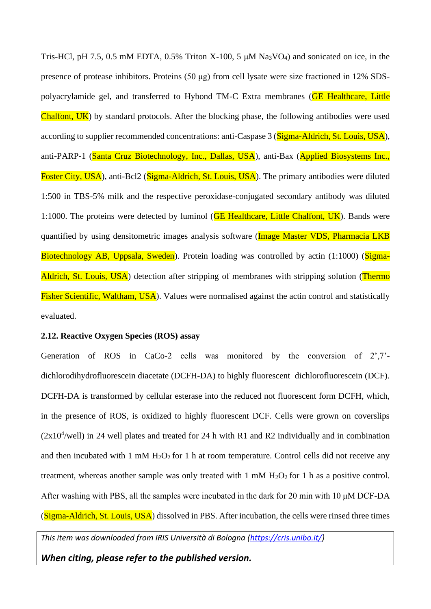Tris-HCl, pH 7.5, 0.5 mM EDTA, 0.5% Triton X-100, 5  $\mu$ M Na<sub>3</sub>VO<sub>4</sub>) and sonicated on ice, in the presence of protease inhibitors. Proteins (50 μg) from cell lysate were size fractioned in 12% SDSpolyacrylamide gel, and transferred to Hybond TM-C Extra membranes (GE Healthcare, Little Chalfont, UK) by standard protocols. After the blocking phase, the following antibodies were used according to supplier recommended concentrations: anti-Caspase 3 (Sigma-Aldrich, St. Louis, USA), anti-PARP-1 (Santa Cruz Biotechnology, Inc., Dallas, USA), anti-Bax (Applied Biosystems Inc., Foster City, USA), anti-Bcl2 (Sigma-Aldrich, St. Louis, USA). The primary antibodies were diluted 1:500 in TBS-5% milk and the respective peroxidase-conjugated secondary antibody was diluted 1:1000. The proteins were detected by luminol (GE Healthcare, Little Chalfont, UK). Bands were quantified by using densitometric images analysis software (*Image Master VDS*, *Pharmacia LKB* Biotechnology AB, Uppsala, Sweden). Protein loading was controlled by actin (1:1000) (Sigma-Aldrich, St. Louis, USA) detection after stripping of membranes with stripping solution (Thermo Fisher Scientific, Waltham, USA). Values were normalised against the actin control and statistically evaluated.

### **2.12. Reactive Oxygen Species (ROS) assay**

Generation of ROS in CaCo-2 cells was monitored by the conversion of 2',7' dichlorodihydrofluorescein diacetate (DCFH-DA) to highly fluorescent dichlorofluorescein (DCF). DCFH-DA is transformed by cellular esterase into the reduced not fluorescent form DCFH, which, in the presence of ROS, is oxidized to highly fluorescent DCF. Cells were grown on coverslips  $(2x10<sup>4</sup>/well)$  in 24 well plates and treated for 24 h with R1 and R2 individually and in combination and then incubated with 1 mM  $H_2O_2$  for 1 h at room temperature. Control cells did not receive any treatment, whereas another sample was only treated with 1 mM  $H_2O_2$  for 1 h as a positive control. After washing with PBS, all the samples were incubated in the dark for 20 min with 10 μM DCF-DA (Sigma-Aldrich, St. Louis, USA) dissolved in PBS. After incubation, the cells were rinsed three times

*This item was downloaded from IRIS Università di Bologna [\(https://cris.unibo.it/\)](https://cris.unibo.it/)*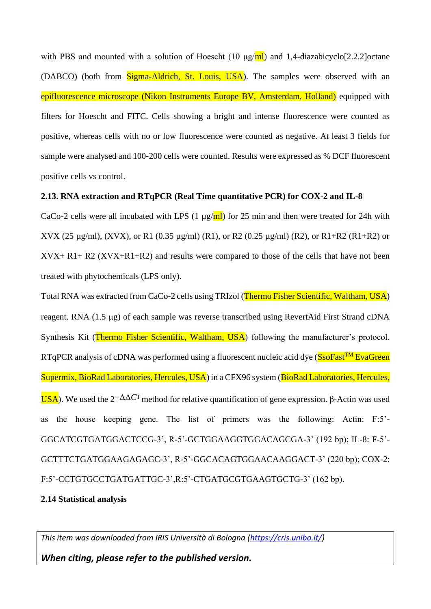with PBS and mounted with a solution of Hoescht (10  $\mu$ g/ml) and 1,4-diazabicyclo[2.2.2] octane (DABCO) (both from Sigma-Aldrich, St. Louis, USA). The samples were observed with an epifluorescence microscope (Nikon Instruments Europe BV, Amsterdam, Holland) equipped with filters for Hoescht and FITC. Cells showing a bright and intense fluorescence were counted as positive, whereas cells with no or low fluorescence were counted as negative. At least 3 fields for sample were analysed and 100-200 cells were counted. Results were expressed as % DCF fluorescent positive cells vs control.

### **2.13. RNA extraction and RTqPCR (Real Time quantitative PCR) for COX-2 and IL-8**

CaCo-2 cells were all incubated with LPS (1  $\mu$ g/ml) for 25 min and then were treated for 24h with XVX (25 µg/ml), (XVX), or R1 (0.35 µg/ml) (R1), or R2 (0.25 µg/ml) (R2), or R1+R2 (R1+R2) or XVX+ R1+ R2 (XVX+R1+R2) and results were compared to those of the cells that have not been treated with phytochemicals (LPS only).

Total RNA was extracted from CaCo-2 cells using TRIzol (Thermo Fisher Scientific, Waltham, USA) reagent. RNA (1.5 µg) of each sample was reverse transcribed using RevertAid First Strand cDNA Synthesis Kit (Thermo Fisher Scientific, Waltham, USA) following the manufacturer's protocol. RTqPCR analysis of cDNA was performed using a fluorescent nucleic acid dye (SsoFast<sup>TM</sup> EvaGreen Supermix, BioRad Laboratories, Hercules, USA) in a CFX96 system (BioRad Laboratories, Hercules, USA). We used the  $2^{-\Delta\Delta}C$ <sup>T</sup> method for relative quantification of gene expression. β-Actin was used as the house keeping gene. The list of primers was the following: Actin: F:5'- GGCATCGTGATGGACTCCG-3', R-5'-GCTGGAAGGTGGACAGCGA-3' (192 bp); IL-8: F-5'- GCTTTCTGATGGAAGAGAGC-3', R-5'-GGCACAGTGGAACAAGGACT-3' (220 bp); COX-2: F:5'-CCTGTGCCTGATGATTGC-3', R:5'-CTGATGCGTGAAGTGCTG-3' (162 bp).

### **2.14 Statistical analysis**

*This item was downloaded from IRIS Università di Bologna [\(https://cris.unibo.it/\)](https://cris.unibo.it/)*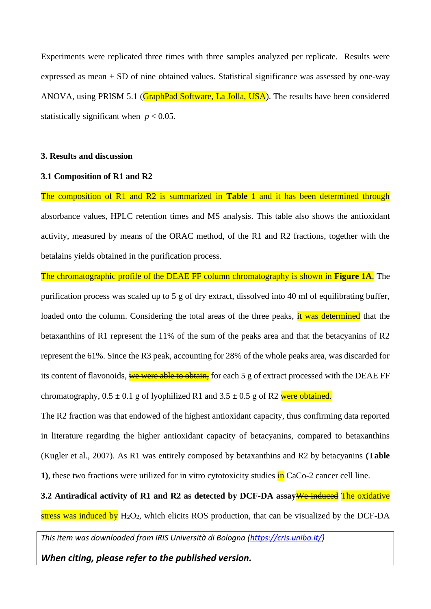Experiments were replicated three times with three samples analyzed per replicate. Results were expressed as mean  $\pm$  SD of nine obtained values. Statistical significance was assessed by one-way ANOVA, using PRISM 5.1 (GraphPad Software, La Jolla, USA). The results have been considered statistically significant when  $p < 0.05$ .

#### **3. Results and discussion**

#### **3.1 Composition of R1 and R2**

The composition of R1 and R2 is summarized in **Table 1** and it has been determined through absorbance values, HPLC retention times and MS analysis. This table also shows the antioxidant activity, measured by means of the ORAC method, of the R1 and R2 fractions, together with the betalains yields obtained in the purification process.

The chromatographic profile of the DEAE FF column chromatography is shown in **Figure 1A**. The purification process was scaled up to 5 g of dry extract, dissolved into 40 ml of equilibrating buffer, loaded onto the column. Considering the total areas of the three peaks, it was determined that the betaxanthins of R1 represent the 11% of the sum of the peaks area and that the betacyanins of R2 represent the 61%. Since the R3 peak, accounting for 28% of the whole peaks area, was discarded for its content of flavonoids, we were able to obtain, for each 5 g of extract processed with the DEAE FF chromatography,  $0.5 \pm 0.1$  g of lyophilized R1 and  $3.5 \pm 0.5$  g of R2 were obtained.

The R2 fraction was that endowed of the highest antioxidant capacity, thus confirming data reported in literature regarding the higher antioxidant capacity of betacyanins, compared to betaxanthins (Kugler et al., 2007). As R1 was entirely composed by betaxanthins and R2 by betacyanins **(Table 1)**, these two fractions were utilized for in vitro cytotoxicity studies in CaCo-2 cancer cell line.

**3.2 Antiradical activity of R1 and R2 as detected by DCF-DA assay**We induced The oxidative stress was induced by  $H_2O_2$ , which elicits ROS production, that can be visualized by the DCF-DA

*This item was downloaded from IRIS Università di Bologna [\(https://cris.unibo.it/\)](https://cris.unibo.it/)*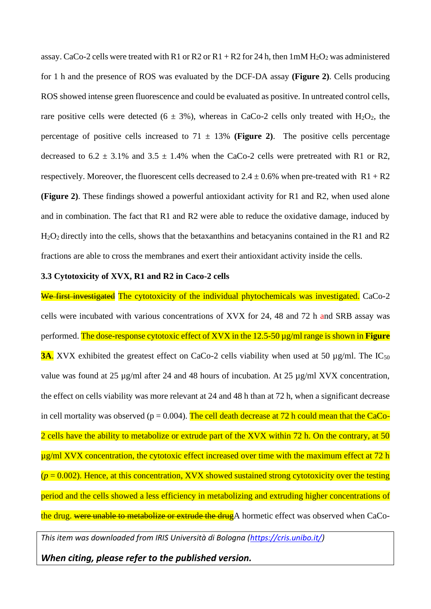assay. CaCo-2 cells were treated with R1 or R2 or R1 + R2 for 24 h, then  $1 \text{m} \text{M H}_2\text{O}_2$  was administered for 1 h and the presence of ROS was evaluated by the DCF-DA assay **(Figure 2)**. Cells producing ROS showed intense green fluorescence and could be evaluated as positive. In untreated control cells, rare positive cells were detected ( $6 \pm 3\%$ ), whereas in CaCo-2 cells only treated with H<sub>2</sub>O<sub>2</sub>, the percentage of positive cells increased to  $71 \pm 13\%$  (Figure 2). The positive cells percentage decreased to  $6.2 \pm 3.1\%$  and  $3.5 \pm 1.4\%$  when the CaCo-2 cells were pretreated with R1 or R2, respectively. Moreover, the fluorescent cells decreased to  $2.4 \pm 0.6\%$  when pre-treated with R1 + R2 **(Figure 2)**. These findings showed a powerful antioxidant activity for R1 and R2, when used alone and in combination. The fact that R1 and R2 were able to reduce the oxidative damage, induced by H2O2 directly into the cells, shows that the betaxanthins and betacyanins contained in the R1 and R2 fractions are able to cross the membranes and exert their antioxidant activity inside the cells.

#### **3.3 Cytotoxicity of XVX, R1 and R2 in Caco-2 cells**

We first investigated The cytotoxicity of the individual phytochemicals was investigated. CaCo-2 cells were incubated with various concentrations of XVX for 24, 48 and 72 h and SRB assay was performed. The dose-response cytotoxic effect of XVX in the 12.5-50 µg/ml range is shown in **Figure 3A.** XVX exhibited the greatest effect on CaCo-2 cells viability when used at 50  $\mu$ g/ml. The IC<sub>50</sub> value was found at 25 µg/ml after 24 and 48 hours of incubation. At 25 µg/ml XVX concentration, the effect on cells viability was more relevant at 24 and 48 h than at 72 h, when a significant decrease in cell mortality was observed ( $p = 0.004$ ). The cell death decrease at 72 h could mean that the CaCo-2 cells have the ability to metabolize or extrude part of the XVX within 72 h. On the contrary, at 50 ug/ml XVX concentration, the cytotoxic effect increased over time with the maximum effect at 72 h  $(p = 0.002)$ . Hence, at this concentration, XVX showed sustained strong cytotoxicity over the testing period and the cells showed a less efficiency in metabolizing and extruding higher concentrations of the drug. were unable to metabolize or extrude the drug A hormetic effect was observed when CaCo-

*This item was downloaded from IRIS Università di Bologna [\(https://cris.unibo.it/\)](https://cris.unibo.it/)*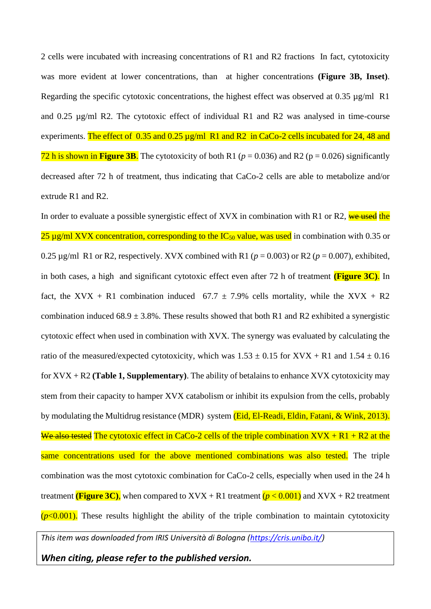2 cells were incubated with increasing concentrations of R1 and R2 fractions In fact, cytotoxicity was more evident at lower concentrations, than at higher concentrations **(Figure 3B, Inset)**. Regarding the specific cytotoxic concentrations, the highest effect was observed at  $0.35 \mu g/ml \text{ }R1$ and 0.25 µg/ml R2. The cytotoxic effect of individual R1 and R2 was analysed in time-course experiments. The effect of 0.35 and 0.25 µg/ml R1 and R2 in CaCo-2 cells incubated for 24, 48 and 72 h is shown in **Figure 3B.** The cytotoxicity of both R1 ( $p = 0.036$ ) and R2 ( $p = 0.026$ ) significantly decreased after 72 h of treatment, thus indicating that CaCo-2 cells are able to metabolize and/or extrude R1 and R2.

In order to evaluate a possible synergistic effect of XVX in combination with R1 or R2, we used the 25  $\mu$ g/ml XVX concentration, corresponding to the IC<sub>50</sub> value, was used in combination with 0.35 or 0.25  $\mu$ g/ml R1 or R2, respectively. XVX combined with R1 ( $p = 0.003$ ) or R2 ( $p = 0.007$ ), exhibited, in both cases, a high and significant cytotoxic effect even after 72 h of treatment **(Figure 3C)**. In fact, the XVX + R1 combination induced  $67.7 \pm 7.9\%$  cells mortality, while the XVX + R2 combination induced  $68.9 \pm 3.8\%$ . These results showed that both R1 and R2 exhibited a synergistic cytotoxic effect when used in combination with XVX. The synergy was evaluated by calculating the ratio of the measured/expected cytotoxicity, which was  $1.53 \pm 0.15$  for XVX + R1 and  $1.54 \pm 0.16$ for XVX + R2 **(Table 1, Supplementary)**. The ability of betalains to enhance XVX cytotoxicity may stem from their capacity to hamper XVX catabolism or inhibit its expulsion from the cells, probably by modulating the Multidrug resistance (MDR) system (Eid, El-Readi, Eldin, Fatani, & Wink, 2013). We also tested The cytotoxic effect in CaCo-2 cells of the triple combination  $XVX + R1 + R2$  at the same concentrations used for the above mentioned combinations was also tested. The triple combination was the most cytotoxic combination for CaCo-2 cells, especially when used in the 24 h treatment **(Figure 3C)**, when compared to  $XVX + R1$  treatment  $(p < 0.001)$  and  $XVX + R2$  treatment  $(p<0.001)$ . These results highlight the ability of the triple combination to maintain cytotoxicity

*This item was downloaded from IRIS Università di Bologna [\(https://cris.unibo.it/\)](https://cris.unibo.it/)*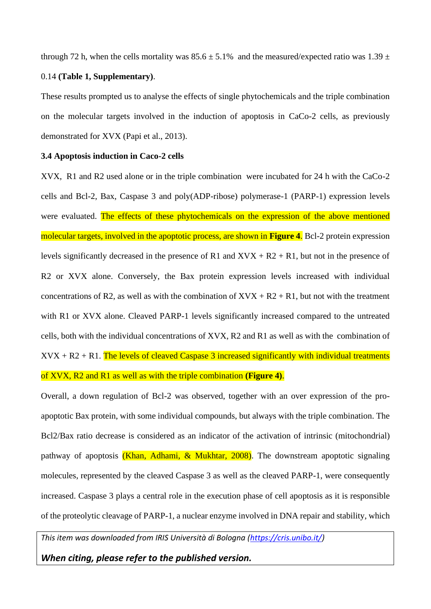through 72 h, when the cells mortality was  $85.6 \pm 5.1\%$  and the measured/expected ratio was  $1.39 \pm 1.39$ 0.14 **(Table 1, Supplementary)**.

These results prompted us to analyse the effects of single phytochemicals and the triple combination on the molecular targets involved in the induction of apoptosis in CaCo-2 cells, as previously demonstrated for XVX (Papi et al., 2013).

#### **3.4 Apoptosis induction in Caco-2 cells**

XVX, R1 and R2 used alone or in the triple combination were incubated for 24 h with the CaCo-2 cells and Bcl-2, Bax, Caspase 3 and poly(ADP-ribose) polymerase-1 (PARP-1) expression levels were evaluated. The effects of these phytochemicals on the expression of the above mentioned molecular targets, involved in the apoptotic process, are shown in **Figure 4**. Bcl-2 protein expression levels significantly decreased in the presence of R1 and  $XVX + R2 + R1$ , but not in the presence of R2 or XVX alone. Conversely, the Bax protein expression levels increased with individual concentrations of R2, as well as with the combination of  $XVX + R2 + R1$ , but not with the treatment with R1 or XVX alone. Cleaved PARP-1 levels significantly increased compared to the untreated cells, both with the individual concentrations of XVX, R2 and R1 as well as with the combination of  $XVX + R2 + R1$ . The levels of cleaved Caspase 3 increased significantly with individual treatments of XVX, R2 and R1 as well as with the triple combination **(Figure 4)**.

Overall, a down regulation of Bcl-2 was observed, together with an over expression of the proapoptotic Bax protein, with some individual compounds, but always with the triple combination. The Bcl2/Bax ratio decrease is considered as an indicator of the activation of intrinsic (mitochondrial) pathway of apoptosis (Khan, Adhami, & Mukhtar, 2008). The downstream apoptotic signaling molecules, represented by the cleaved Caspase 3 as well as the cleaved PARP-1, were consequently increased. Caspase 3 plays a central role in the execution phase of cell apoptosis as it is responsible of the proteolytic cleavage of PARP-1, a nuclear enzyme involved in DNA repair and stability, which

*This item was downloaded from IRIS Università di Bologna [\(https://cris.unibo.it/\)](https://cris.unibo.it/)*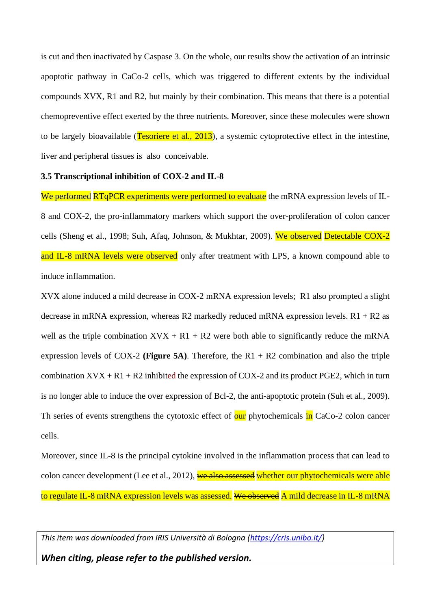is cut and then inactivated by Caspase 3. On the whole, our results show the activation of an intrinsic apoptotic pathway in CaCo-2 cells, which was triggered to different extents by the individual compounds XVX, R1 and R2, but mainly by their combination. This means that there is a potential chemopreventive effect exerted by the three nutrients. Moreover, since these molecules were shown to be largely bioavailable (Tesoriere et al., 2013), a systemic cytoprotective effect in the intestine, liver and peripheral tissues is also conceivable.

#### **3.5 Transcriptional inhibition of COX-2 and IL-8**

We performed RTqPCR experiments were performed to evaluate the mRNA expression levels of IL-8 and COX-2, the pro-inflammatory markers which support the over-proliferation of colon cancer cells (Sheng et al., 1998; Suh, Afaq, Johnson, & Mukhtar, 2009). We observed Detectable COX-2 and IL-8 mRNA levels were observed only after treatment with LPS, a known compound able to induce inflammation.

XVX alone induced a mild decrease in COX-2 mRNA expression levels; R1 also prompted a slight decrease in mRNA expression, whereas R2 markedly reduced mRNA expression levels.  $R1 + R2$  as well as the triple combination  $XVX + R1 + R2$  were both able to significantly reduce the mRNA expression levels of COX-2 **(Figure 5A)**. Therefore, the R1 + R2 combination and also the triple combination  $XVX + R1 + R2$  inhibited the expression of COX-2 and its product PGE2, which in turn is no longer able to induce the over expression of Bcl-2, the anti-apoptotic protein (Suh et al., 2009). Th series of events strengthens the cytotoxic effect of our phytochemicals in CaCo-2 colon cancer cells.

Moreover, since IL-8 is the principal cytokine involved in the inflammation process that can lead to colon cancer development (Lee et al., 2012), we also assessed whether our phytochemicals were able to regulate IL-8 mRNA expression levels was assessed. We observed A mild decrease in IL-8 mRNA

*This item was downloaded from IRIS Università di Bologna [\(https://cris.unibo.it/\)](https://cris.unibo.it/)*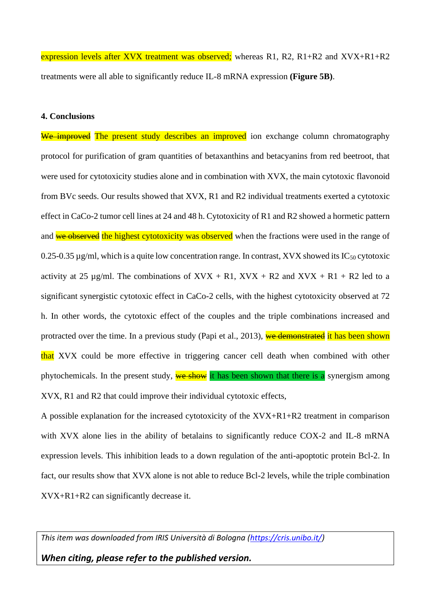expression levels after XVX treatment was observed; whereas R1, R2, R1+R2 and XVX+R1+R2 treatments were all able to significantly reduce IL-8 mRNA expression **(Figure 5B)**.

## **4. Conclusions**

We improved The present study describes an improved ion exchange column chromatography protocol for purification of gram quantities of betaxanthins and betacyanins from red beetroot, that were used for cytotoxicity studies alone and in combination with XVX, the main cytotoxic flavonoid from BVc seeds. Our results showed that XVX, R1 and R2 individual treatments exerted a cytotoxic effect in CaCo-2 tumor cell lines at 24 and 48 h. Cytotoxicity of R1 and R2 showed a hormetic pattern and we observed the highest cytotoxicity was observed when the fractions were used in the range of 0.25-0.35  $\mu$ g/ml, which is a quite low concentration range. In contrast, XVX showed its IC<sub>50</sub> cytotoxic activity at 25 µg/ml. The combinations of  $XVX + R1$ ,  $XVX + R2$  and  $XVX + R1 + R2$  led to a significant synergistic cytotoxic effect in CaCo-2 cells, with the highest cytotoxicity observed at 72 h. In other words, the cytotoxic effect of the couples and the triple combinations increased and protracted over the time. In a previous study (Papi et al., 2013), we demonstrated it has been shown that XVX could be more effective in triggering cancer cell death when combined with other phytochemicals. In the present study, we show it has been shown that there is a synergism among XVX, R1 and R2 that could improve their individual cytotoxic effects,

A possible explanation for the increased cytotoxicity of the XVX+R1+R2 treatment in comparison with XVX alone lies in the ability of betalains to significantly reduce COX-2 and IL-8 mRNA expression levels. This inhibition leads to a down regulation of the anti-apoptotic protein Bcl-2. In fact, our results show that XVX alone is not able to reduce Bcl-2 levels, while the triple combination XVX+R1+R2 can significantly decrease it.

*This item was downloaded from IRIS Università di Bologna [\(https://cris.unibo.it/\)](https://cris.unibo.it/)*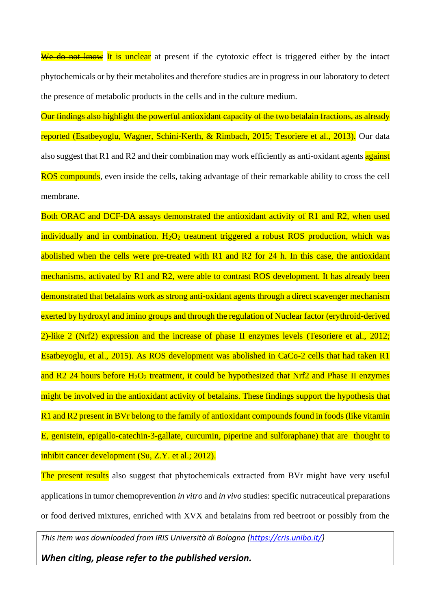We do not know It is unclear at present if the cytotoxic effect is triggered either by the intact phytochemicals or by their metabolites and therefore studies are in progress in our laboratory to detect the presence of metabolic products in the cells and in the culture medium.

Our findings also highlight the powerful antioxidant capacity of the two betalain fractions, as already reported (Esatbeyoglu, Wagner, Schini-Kerth, & Rimbach, 2015; Tesoriere et al., 2013).</u> Our data also suggest that R1 and R2 and their combination may work efficiently as anti-oxidant agents against ROS compounds, even inside the cells, taking advantage of their remarkable ability to cross the cell membrane.

Both ORAC and DCF-DA assays demonstrated the antioxidant activity of R1 and R2, when used individually and in combination.  $H_2O_2$  treatment triggered a robust ROS production, which was abolished when the cells were pre-treated with R1 and R2 for 24 h. In this case, the antioxidant mechanisms, activated by R1 and R2, were able to contrast ROS development. It has already been demonstrated that betalains work as strong anti-oxidant agents through a direct scavenger mechanism exerted by hydroxyl and imino groups and through the regulation of Nuclear factor (erythroid-derived 2)-like 2 (Nrf2) expression and the increase of phase II enzymes levels (Tesoriere et al., 2012; Esatbeyoglu, et al., 2015). As ROS development was abolished in CaCo-2 cells that had taken R1 and R2 24 hours before  $H_2O_2$  treatment, it could be hypothesized that Nrf2 and Phase II enzymes might be involved in the antioxidant activity of betalains. These findings support the hypothesis that R1 and R2 present in BVr belong to the family of antioxidant compounds found in foods (like vitamin E, genistein, epigallo-catechin-3-gallate, curcumin, piperine and sulforaphane) that are thought to inhibit cancer development (Su, Z.Y. et al.; 2012).

The present results also suggest that phytochemicals extracted from BVr might have very useful applications in tumor chemoprevention *in vitro* and *in vivo* studies: specific nutraceutical preparations or food derived mixtures, enriched with XVX and betalains from red beetroot or possibly from the

*This item was downloaded from IRIS Università di Bologna [\(https://cris.unibo.it/\)](https://cris.unibo.it/)*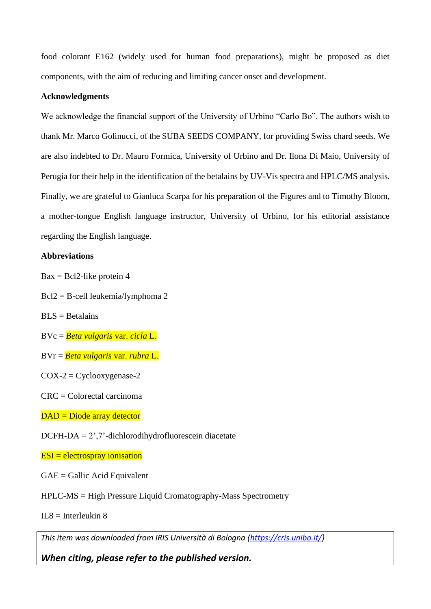food colorant E162 (widely used for human food preparations), might be proposed as diet components, with the aim of reducing and limiting cancer onset and development.

#### **Acknowledgments**

We acknowledge the financial support of the University of Urbino "Carlo Bo". The authors wish to thank Mr. Marco Golinucci, of the SUBA SEEDS COMPANY, for providing Swiss chard seeds. We are also indebted to Dr. Mauro Formica, University of Urbino and Dr. Ilona Di Maio, University of Perugia for their help in the identification of the betalains by UV-Vis spectra and HPLC/MS analysis. Finally, we are grateful to Gianluca Scarpa for his preparation of the Figures and to Timothy Bloom, a mother-tongue English language instructor, University of Urbino, for his editorial assistance regarding the English language.

### **Abbreviations**

 $Bax = Bcl2$ -like protein 4

- Bcl2 = B-cell leukemia/lymphoma 2
- $BLS = Betalains$
- BVc = *Beta vulgaris* var. *cicla* L.
- BVr = *Beta vulgaris* var. *rubra* L.
- $COX-2 = Cyclooxygenase-2$
- CRC = Colorectal carcinoma
- DAD = Diode array detector
- DCFH-DA = 2',7'-dichlorodihydrofluorescein diacetate

#### $ESI =$  electrospray ionisation

- GAE = Gallic Acid Equivalent
- HPLC-MS = High Pressure Liquid Cromatography-Mass Spectrometry
- $IL8 = Interleukin 8$

*This item was downloaded from IRIS Università di Bologna [\(https://cris.unibo.it/\)](https://cris.unibo.it/)*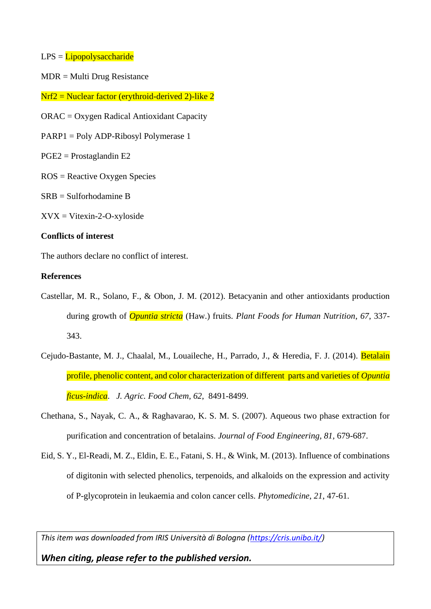- $LPS = Lipopolysaccharide$
- MDR = Multi Drug Resistance
- $Nrf2 = Nuclear factor (erythroid-derived 2) like 2$
- ORAC = Oxygen Radical Antioxidant Capacity
- PARP1 = Poly ADP-Ribosyl Polymerase 1
- PGE2 = Prostaglandin E2
- ROS = Reactive Oxygen Species
- SRB = Sulforhodamine B
- $XVX = Vitexin-2-O-xyloside$

## **Conflicts of interest**

The authors declare no conflict of interest.

#### **References**

- Castellar, M. R., Solano, F., & Obon, J. M. (2012). Betacyanin and other antioxidants production during growth of *Opuntia stricta* (Haw.) fruits. *Plant Foods for Human Nutrition*, *67*, 337- 343.
- Cejudo-Bastante, M. J., Chaalal, M., Louaileche, H., Parrado, J., & Heredia, F. J. (2014). Betalain profile, phenolic content, and color characterization of different parts and varieties of *Opuntia ficus-indica*. *J. Agric. Food Chem, 62*, 8491-8499.
- Chethana, S., Nayak, C. A., & Raghavarao, K. S. M. S. (2007). Aqueous two phase extraction for purification and concentration of betalains. *Journal of Food Engineering, 81,* 679-687.
- Eid, S. Y., El-Readi, M. Z., Eldin, E. E., Fatani, S. H., & Wink, M. (2013). Influence of combinations of digitonin with selected phenolics, terpenoids, and alkaloids on the expression and activity of P-glycoprotein in leukaemia and colon cancer cells. *Phytomedicine*, *21*, 47-61.

*This item was downloaded from IRIS Università di Bologna [\(https://cris.unibo.it/\)](https://cris.unibo.it/)*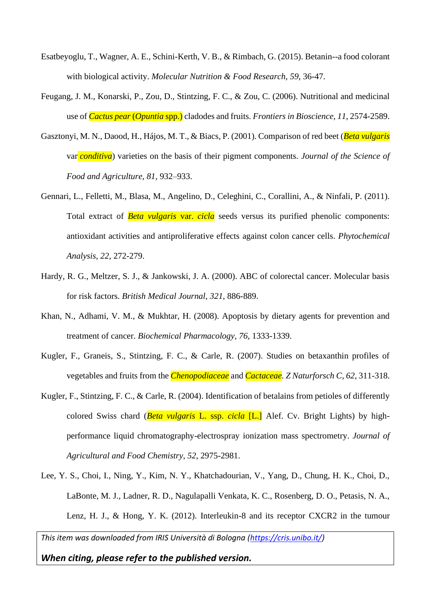- Esatbeyoglu, T., Wagner, A. E., Schini-Kerth, V. B., & Rimbach, G. (2015). Betanin--a food colorant with biological activity. *Molecular Nutrition & Food Research*, *59*, 36-47.
- Feugang, J. M., Konarski, P., Zou, D., Stintzing, F. C., & Zou, C. (2006). Nutritional and medicinal use of *Cactus pear* (*Opuntia* spp.) cladodes and fruits. *Frontiers in Bioscience*, *11*, 2574-2589.
- Gasztonyi, M. N., Daood, H., Hájos, M. T., & Biacs, P. (2001). Comparison of red beet (*Beta vulgaris*  var *conditiva*) varieties on the basis of their pigment components. *Journal of the Science of Food and Agriculture, 81,* 932–933.
- Gennari, L., Felletti, M., Blasa, M., Angelino, D., Celeghini, C., Corallini, A., & Ninfali, P. (2011). Total extract of *Beta vulgaris* var. *cicla* seeds versus its purified phenolic components: antioxidant activities and antiproliferative effects against colon cancer cells. *Phytochemical Analysis*, *22*, 272-279.
- Hardy, R. G., Meltzer, S. J., & Jankowski, J. A. (2000). ABC of colorectal cancer. Molecular basis for risk factors. *British Medical Journal*, *321*, 886-889.
- Khan, N., Adhami, V. M., & Mukhtar, H. (2008). Apoptosis by dietary agents for prevention and treatment of cancer. *Biochemical Pharmacology*, *76*, 1333-1339.
- Kugler, F., Graneis, S., Stintzing, F. C., & Carle, R. (2007). Studies on betaxanthin profiles of vegetables and fruits from the *Chenopodiaceae* and *Cactaceae*. *Z Naturforsch C*, *62*, 311-318.
- Kugler, F., Stintzing, F. C., & Carle, R. (2004). Identification of betalains from petioles of differently colored Swiss chard (*Beta vulgaris* L. ssp. *cicla* [L.] Alef. Cv. Bright Lights) by highperformance liquid chromatography-electrospray ionization mass spectrometry. *Journal of Agricultural and Food Chemistry*, *52*, 2975-2981.
- Lee, Y. S., Choi, I., Ning, Y., Kim, N. Y., Khatchadourian, V., Yang, D., Chung, H. K., Choi, D., LaBonte, M. J., Ladner, R. D., Nagulapalli Venkata, K. C., Rosenberg, D. O., Petasis, N. A., Lenz, H. J., & Hong, Y. K. (2012). Interleukin-8 and its receptor CXCR2 in the tumour

*This item was downloaded from IRIS Università di Bologna [\(https://cris.unibo.it/\)](https://cris.unibo.it/)*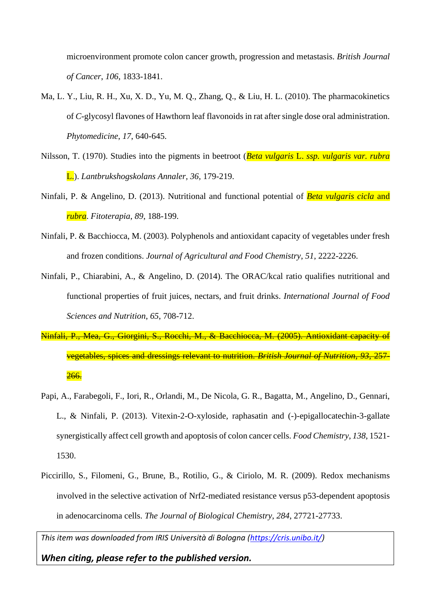microenvironment promote colon cancer growth, progression and metastasis. *British Journal of Cancer*, *106*, 1833-1841.

- Ma, L. Y., Liu, R. H., Xu, X. D., Yu, M. Q., Zhang, Q., & Liu, H. L. (2010). The pharmacokinetics of *C*-glycosyl flavones of Hawthorn leaf flavonoids in rat after single dose oral administration. *Phytomedicine*, *17*, 640-645.
- Nilsson, T. (1970). Studies into the pigments in beetroot (*Beta vulgaris* L. *ssp. vulgaris var. rubra* L.). *Lantbrukshogskolans Annaler, 36,* 179-219.
- Ninfali, P. & Angelino, D. (2013). Nutritional and functional potential of *Beta vulgaris cicla* and *rubra*. *Fitoterapia*, *89*, 188-199.
- Ninfali, P. & Bacchiocca, M. (2003). Polyphenols and antioxidant capacity of vegetables under fresh and frozen conditions. *Journal of Agricultural and Food Chemistry*, *51*, 2222-2226.
- Ninfali, P., Chiarabini, A., & Angelino, D. (2014). The ORAC/kcal ratio qualifies nutritional and functional properties of fruit juices, nectars, and fruit drinks. *International Journal of Food Sciences and Nutrition*, *65*, 708-712.
- Ninfali, P., Mea, G., Giorgini, S., Rocchi, M., & Bacchiocca, M. (2005). Antioxidant capacity of vegetables, spices and dressings relevant to nutrition. *British Journal of Nutrition*, *93*, 257-  $266.$
- Papi, A., Farabegoli, F., Iori, R., Orlandi, M., De Nicola, G. R., Bagatta, M., Angelino, D., Gennari, L., & Ninfali, P. (2013). Vitexin-2-O-xyloside, raphasatin and (-)-epigallocatechin-3-gallate synergistically affect cell growth and apoptosis of colon cancer cells. *Food Chemistry*, *138*, 1521- 1530.
- Piccirillo, S., Filomeni, G., Brune, B., Rotilio, G., & Ciriolo, M. R. (2009). Redox mechanisms involved in the selective activation of Nrf2-mediated resistance versus p53-dependent apoptosis in adenocarcinoma cells. *The Journal of Biological Chemistry*, *284*, 27721-27733.

*This item was downloaded from IRIS Università di Bologna [\(https://cris.unibo.it/\)](https://cris.unibo.it/)*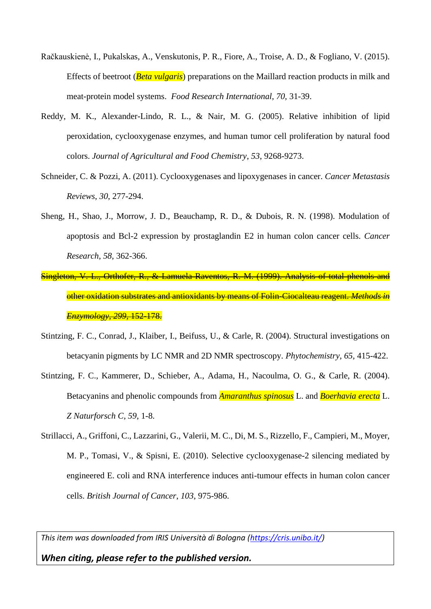- Račkauskienė, I., Pukalskas, A., Venskutonis, P. R., Fiore, A., Troise, A. D., & Fogliano, V. (2015). Effects of beetroot (*Beta vulgaris*) preparations on the Maillard reaction products in milk and meat-protein model systems. *Food Research International, 70,* 31-39.
- Reddy, M. K., Alexander-Lindo, R. L., & Nair, M. G. (2005). Relative inhibition of lipid peroxidation, cyclooxygenase enzymes, and human tumor cell proliferation by natural food colors. *Journal of Agricultural and Food Chemistry*, *53*, 9268-9273.
- Schneider, C. & Pozzi, A. (2011). Cyclooxygenases and lipoxygenases in cancer. *Cancer Metastasis Reviews*, *30*, 277-294.
- Sheng, H., Shao, J., Morrow, J. D., Beauchamp, R. D., & Dubois, R. N. (1998). Modulation of apoptosis and Bcl-2 expression by prostaglandin E2 in human colon cancer cells. *Cancer Research*, *58*, 362-366.
- Singleton, V. L., Orthofer, R., & Lamuela-Raventos, R. M. (1999). Analysis of total phenols and other oxidation substrates and antioxidants by means of Folin-Ciocalteau reagent. *Methods in Enzymology, 299,* 152-178.
- Stintzing, F. C., Conrad, J., Klaiber, I., Beifuss, U., & Carle, R. (2004). Structural investigations on betacyanin pigments by LC NMR and 2D NMR spectroscopy. *Phytochemistry*, *65*, 415-422.
- Stintzing, F. C., Kammerer, D., Schieber, A., Adama, H., Nacoulma, O. G., & Carle, R. (2004). Betacyanins and phenolic compounds from *Amaranthus spinosus* L. and *Boerhavia erecta* L. *Z Naturforsch C*, *59*, 1-8.
- Strillacci, A., Griffoni, C., Lazzarini, G., Valerii, M. C., Di, M. S., Rizzello, F., Campieri, M., Moyer, M. P., Tomasi, V., & Spisni, E. (2010). Selective cyclooxygenase-2 silencing mediated by engineered E. coli and RNA interference induces anti-tumour effects in human colon cancer cells. *British Journal of Cancer*, *103*, 975-986.

*This item was downloaded from IRIS Università di Bologna [\(https://cris.unibo.it/\)](https://cris.unibo.it/)*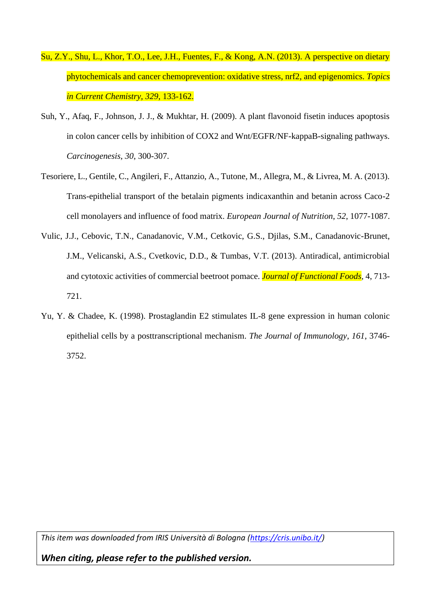- Su, Z.Y., Shu, L., Khor, T.O., Lee, J.H., Fuentes, F., & Kong, A.N. (2013). A perspective on dietary phytochemicals and cancer chemoprevention: oxidative stress, nrf2, and epigenomics. *Topics in Current Chemistry, 329*, 133-162.
- Suh, Y., Afaq, F., Johnson, J. J., & Mukhtar, H. (2009). A plant flavonoid fisetin induces apoptosis in colon cancer cells by inhibition of COX2 and Wnt/EGFR/NF-kappaB-signaling pathways. *Carcinogenesis*, *30*, 300-307.
- Tesoriere, L., Gentile, C., Angileri, F., Attanzio, A., Tutone, M., Allegra, M., & Livrea, M. A. (2013). Trans-epithelial transport of the betalain pigments indicaxanthin and betanin across Caco-2 cell monolayers and influence of food matrix. *European Journal of Nutrition*, *52*, 1077-1087.
- Vulic, J.J., Cebovic, T.N., Canadanovic, V.M., Cetkovic, G.S., Djilas, S.M., Canadanovic-Brunet, J.M., Velicanski, A.S., Cvetkovic, D.D., & Tumbas, V.T. (2013). Antiradical, antimicrobial and cytotoxic activities of commercial beetroot pomace. *Journal of Functional Foods,* 4, 713- 721.
- Yu, Y. & Chadee, K. (1998). Prostaglandin E2 stimulates IL-8 gene expression in human colonic epithelial cells by a posttranscriptional mechanism. *The Journal of Immunology*, *161*, 3746- 3752.

*This item was downloaded from IRIS Università di Bologna [\(https://cris.unibo.it/\)](https://cris.unibo.it/)*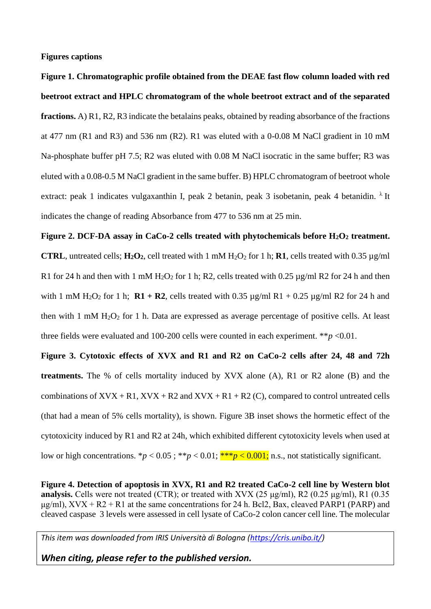**Figures captions**

**Figure 1. Chromatographic profile obtained from the DEAE fast flow column loaded with red beetroot extract and HPLC chromatogram of the whole beetroot extract and of the separated fractions.** A) R1, R2, R3 indicate the betalains peaks, obtained by reading absorbance of the fractions at 477 nm (R1 and R3) and 536 nm (R2). R1 was eluted with a  $0-0.08$  M NaCl gradient in 10 mM Na-phosphate buffer pH 7.5; R2 was eluted with 0.08 M NaCl isocratic in the same buffer; R3 was eluted with a 0.08-0.5 M NaCl gradient in the same buffer. B) HPLC chromatogram of beetroot whole extract: peak 1 indicates vulgaxanthin I, peak 2 betanin, peak 3 isobetanin, peak 4 betanidin.  $\lambda$  It indicates the change of reading Absorbance from 477 to 536 nm at 25 min.

**Figure 2. DCF-DA assay in CaCo-2 cells treated with phytochemicals before H2O<sup>2</sup> treatment. CTRL**, untreated cells;  $H_2O_2$ , cell treated with 1 mM  $H_2O_2$  for 1 h; **R1**, cells treated with 0.35  $\mu$ g/ml R1 for 24 h and then with 1 mM  $H_2O_2$  for 1 h; R2, cells treated with 0.25  $\mu$ g/ml R2 for 24 h and then with 1 mM H<sub>2</sub>O<sub>2</sub> for 1 h; **R1** + **R2**, cells treated with 0.35  $\mu$ g/ml R1 + 0.25  $\mu$ g/ml R2 for 24 h and then with 1 mM  $H_2O_2$  for 1 h. Data are expressed as average percentage of positive cells. At least three fields were evaluated and 100-200 cells were counted in each experiment.  $**p < 0.01$ .

**Figure 3. Cytotoxic effects of XVX and R1 and R2 on CaCo-2 cells after 24, 48 and 72h treatments.** The % of cells mortality induced by XVX alone (A), R1 or R2 alone (B) and the combinations of  $XVX + R1$ ,  $XVX + R2$  and  $XVX + R1 + R2$  (C), compared to control untreated cells (that had a mean of 5% cells mortality), is shown. Figure 3B inset shows the hormetic effect of the cytotoxicity induced by R1 and R2 at 24h, which exhibited different cytotoxicity levels when used at low or high concentrations.  ${}^*p < 0.05$ ;  ${}^{**}p < 0.01$ ;  ${}^{**}p < 0.001$ ; n.s., not statistically significant.

**Figure 4. Detection of apoptosis in XVX, R1 and R2 treated CaCo-2 cell line by Western blot analysis.** Cells were not treated (CTR); or treated with XVX (25 μg/ml), R2 (0.25 μg/ml), R1 (0.35  $\mu$ g/ml), XVX + R2 + R1 at the same concentrations for 24 h. Bcl2, Bax, cleaved PARP1 (PARP) and cleaved caspase 3 levels were assessed in cell lysate of CaCo-2 colon cancer cell line. The molecular

*This item was downloaded from IRIS Università di Bologna [\(https://cris.unibo.it/\)](https://cris.unibo.it/)*